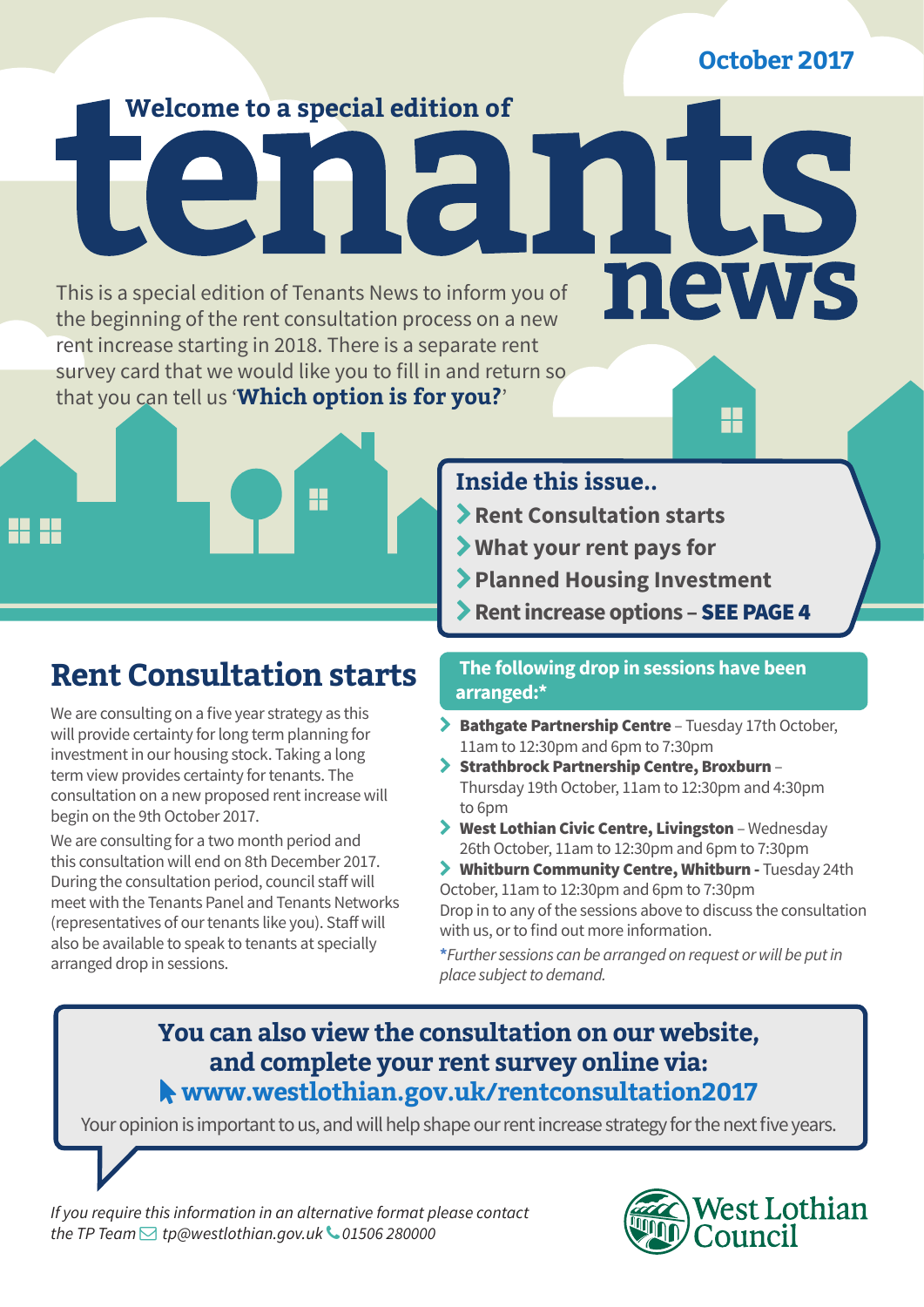**October 2017**

US.

news

H

## **Welcome to a special edition of**

This is a special edition of Tenants News to inform you of the beginning of the rent consultation process on a new rent increase starting in 2018. There is a separate rent survey card that we would like you to fill in and return so that you can tell us '**Which option is for you?**'



# **Rent Consultation starts**

We are consulting on a five year strategy as this will provide certainty for long term planning for investment in our housing stock. Taking a long term view provides certainty for tenants. The consultation on a new proposed rent increase will begin on the 9th October 2017.

We are consulting for a two month period and this consultation will end on 8th December 2017. During the consultation period, council staff will meet with the Tenants Panel and Tenants Networks (representatives of our tenants like you). Staff will also be available to speak to tenants at specially arranged drop in sessions.

## **Inside this issue..**

- **Rent Consultation starts**
- **What your rent pays for**
- **Planned Housing Investment**
- **Rent increase options** SEE PAGE 4

T

#### **The following drop in sessions have been arranged:\***

- > Bathgate Partnership Centre Tuesday 17th October, 11am to 12:30pm and 6pm to 7:30pm
- Strathbrock Partnership Centre, Broxburn Thursday 19th October, 11am to 12:30pm and 4:30pm to 6pm
- West Lothian Civic Centre, Livingston Wednesday 26th October, 11am to 12:30pm and 6pm to 7:30pm
- Whitburn Community Centre, Whitburn Tuesday 24th October, 11am to 12:30pm and 6pm to 7:30pm

Drop in to any of the sessions above to discuss the consultation with us, or to find out more information.

**\****Further sessions can be arranged on request or will be put in place subject to demand.*

## **You can also view the consultation on our website, and complete your rent survey online via: www.westlothian.gov.uk/rentconsultation2017**

Your opinion is important to us, and will help shape our rent increase strategy for the next five years.

*If you require this information in an alternative format please contact the TP Team tp@westlothian.gov.uk 01506 280000*

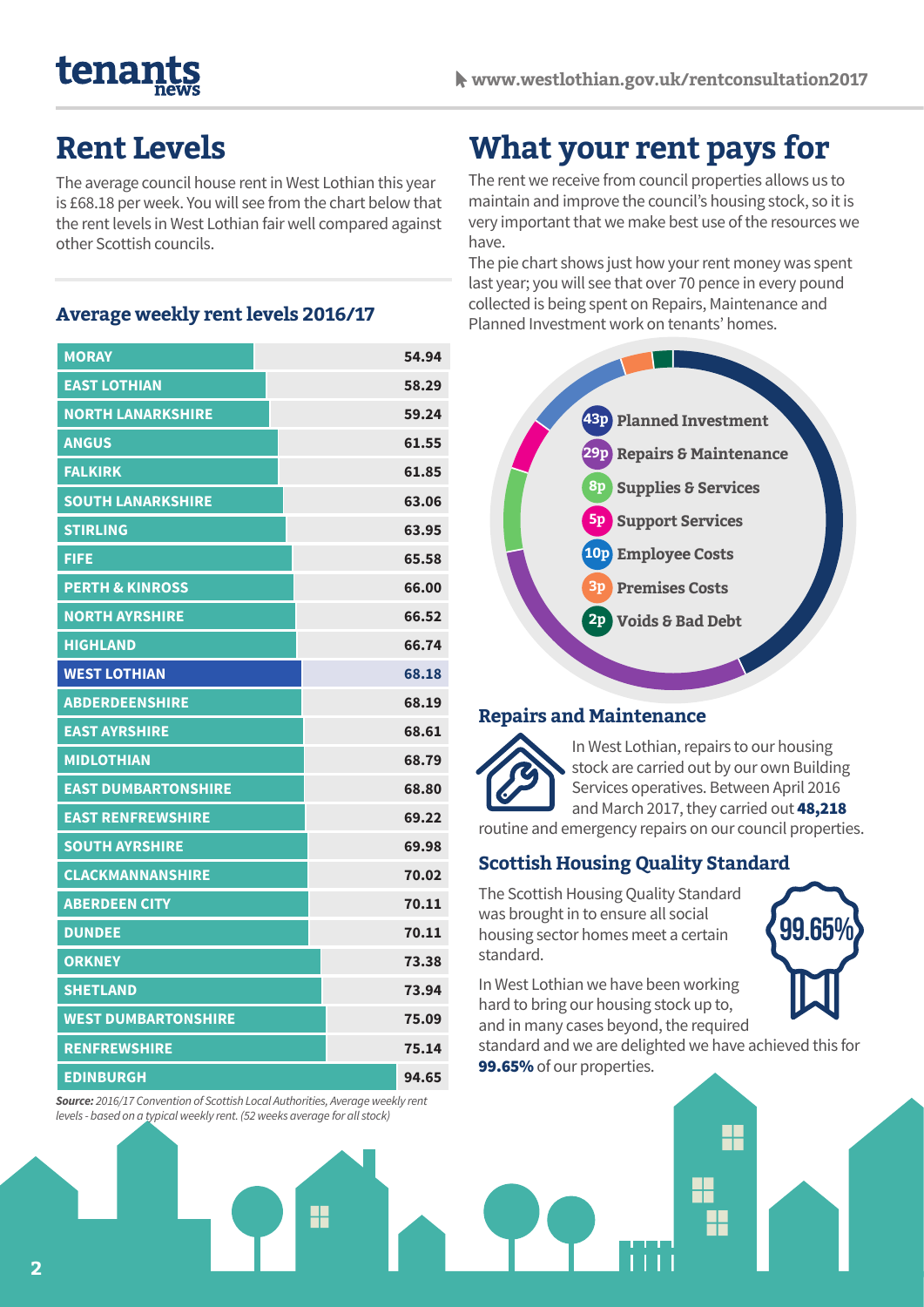# tenar

## **Rent Levels**

The average council house rent in West Lothian this year is £68.18 per week. You will see from the chart below that the rent levels in West Lothian fair well compared against other Scottish councils.

#### **Average weekly rent levels 2016/17**

| <b>MORAY</b>               | 54.94 |
|----------------------------|-------|
| <b>EAST LOTHIAN</b>        | 58.29 |
| <b>NORTH LANARKSHIRE</b>   | 59.24 |
| <b>ANGUS</b>               | 61.55 |
| <b>FALKIRK</b>             | 61.85 |
| <b>SOUTH LANARKSHIRE</b>   | 63.06 |
| <b>STIRLING</b>            | 63.95 |
| FIFE                       | 65.58 |
| <b>PERTH &amp; KINROSS</b> | 66.00 |
| <b>NORTH AYRSHIRE</b>      | 66.52 |
| <b>HIGHLAND</b>            | 66.74 |
| <b>WEST LOTHIAN</b>        | 68.18 |
| <b>ABDERDEENSHIRE</b>      | 68.19 |
| <b>EAST AYRSHIRE</b>       | 68.61 |
| <b>MIDLOTHIAN</b>          | 68.79 |
| <b>EAST DUMBARTONSHIRE</b> | 68.80 |
| <b>EAST RENFREWSHIRE</b>   | 69.22 |
| <b>SOUTH AYRSHIRE</b>      | 69.98 |
| <b>CLACKMANNANSHIRE</b>    | 70.02 |
| <b>ABERDEEN CITY</b>       | 70.11 |
| <b>DUNDEE</b>              | 70.11 |
| <b>ORKNEY</b>              | 73.38 |
| <b>SHETLAND</b>            | 73.94 |
| <b>WEST DUMBARTONSHIRE</b> | 75.09 |
| <b>RENFREWSHIRE</b>        | 75.14 |
| <b>EDINBURGH</b>           | 94.65 |

*Source: 2016/17 Convention of Scottish Local Authorities, Average weekly rent levels - based on a typical weekly rent. (52 weeks average for all stock)*

Ŧ

# **What your rent pays for**

The rent we receive from council properties allows us to maintain and improve the council's housing stock, so it is very important that we make best use of the resources we have.

The pie chart shows just how your rent money was spent last year; you will see that over 70 pence in every pound collected is being spent on Repairs, Maintenance and Planned Investment work on tenants' homes.



#### **Repairs and Maintenance**



In West Lothian, repairs to our housing stock are carried out by our own Building Services operatives. Between April 2016 and March 2017, they carried out 48,218

routine and emergency repairs on our council properties.

#### **Scottish Housing Quality Standard**

The Scottish Housing Quality Standard was brought in to ensure all social housing sector homes meet a certain standard.

**99.65%**

In West Lothian we have been working hard to bring our housing stock up to, and in many cases beyond, the required

standard and we are delighted we have achieved this for 99.65% of our properties.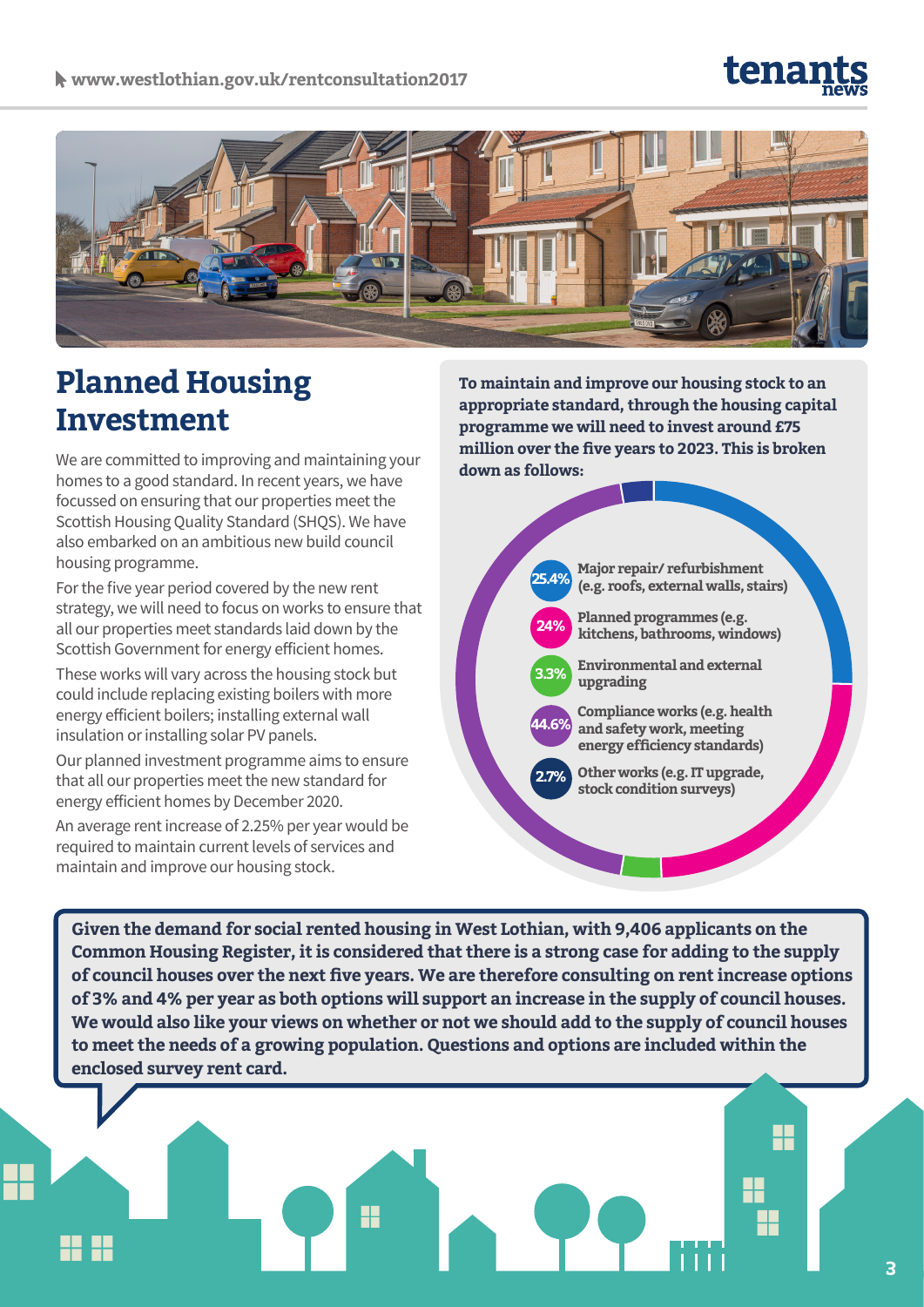# tena



# **Planned Housing Investment**

We are committed to improving and maintaining your homes to a good standard. In recent years, we have focussed on ensuring that our properties meet the Scottish Housing Quality Standard (SHQS). We have also embarked on an ambitious new build council housing programme.

For the five year period covered by the new rent strategy, we will need to focus on works to ensure that all our properties meet standards laid down by the Scottish Government for energy efficient homes.

These works will vary across the housing stock but could include replacing existing boilers with more energy efficient boilers; installing external wall insulation or installing solar PV panels.

Our planned investment programme aims to ensure that all our properties meet the new standard for energy efficient homes by December 2020.

An average rent increase of 2.25% per year would be required to maintain current levels of services and maintain and improve our housing stock.

**To maintain and improve our housing stock to an appropriate standard, through the housing capital programme we will need to invest around £75 million over the five years to 2023. This is broken down as follows:**



**Given the demand for social rented housing in West Lothian, with 9,406 applicants on the Common Housing Register, it is considered that there is a strong case for adding to the supply of council houses over the next five years. We are therefore consulting on rent increase options of 3% and 4% per year as both options will support an increase in the supply of council houses. We would also like your views on whether or not we should add to the supply of council houses to meet the needs of a growing population. Questions and options are included within the enclosed survey rent card.**

H

H

╫